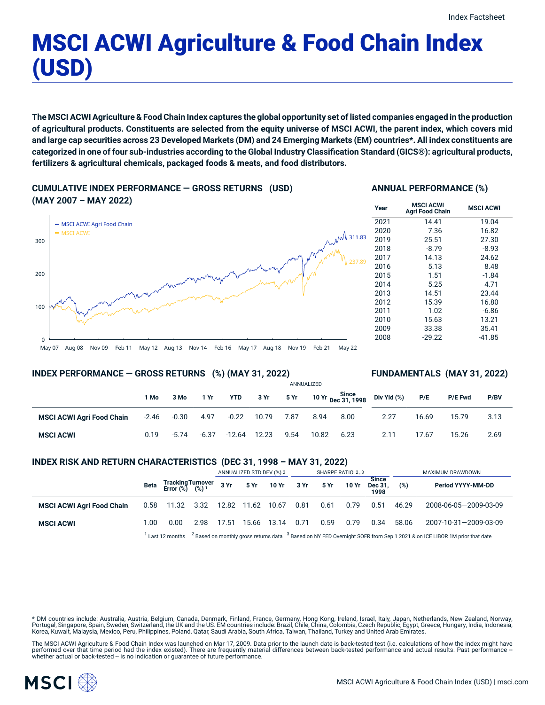# MSCI ACWI Agriculture & Food Chain Index (USD)

The MSCI ACWI Agriculture & Food Chain Index captures the global opportunity set of listed companies engaged in the production of agricultural products. Constituents are selected from the equity universe of MSCI ACWI, the parent index, which covers mid and large cap securities across 23 Developed Markets (DM) and 24 Emerging Markets (EM) countries\*. All index constituents are categorized in one of four sub-industries according to the Global Industry Classification Standard (GICS®): agricultural products, **fertilizers & agricultural chemicals, packaged foods & meats, and food distributors.**

**CUMULATIVE INDEX PERFORMANCE — GROSS RETURNS (USD) (MAY 2007 – MAY 2022)**

### **ANNUAL PERFORMANCE (%)**



| Year | <b>MSCI ACWI</b><br><b>Agri Food Chain</b> | <b>MSCI ACWI</b> |
|------|--------------------------------------------|------------------|
| 2021 | 14.41                                      | 19.04            |
| 2020 | 7.36                                       | 16.82            |
| 2019 | 25.51                                      | 27.30            |
| 2018 | $-8.79$                                    | $-8.93$          |
| 2017 | 14.13                                      | 24.62            |
| 2016 | 5.13                                       | 8.48             |
| 2015 | 1.51                                       | $-1.84$          |
| 2014 | 5.25                                       | 4.71             |
| 2013 | 14.51                                      | 23.44            |
| 2012 | 15.39                                      | 16.80            |
| 2011 | 1.02                                       | $-6.86$          |
| 2010 | 15.63                                      | 13.21            |
| 2009 | 33.38                                      | 35.41            |
| 2008 | $-29.22$                                   | -41.85           |
|      |                                            |                  |

### **INDEX PERFORMANCE — GROSS RETURNS (%) (MAY 31, 2022)**

# **FUNDAMENTALS (MAY 31, 2022)**

|                                  |         |         |         |          | ANNUALIZED |      |       |                                              |             |       |                |      |
|----------------------------------|---------|---------|---------|----------|------------|------|-------|----------------------------------------------|-------------|-------|----------------|------|
|                                  | 1 Mo    | 3 Mo    | 1 Yr    | YTD      | 3 Yr       | 5 Yr |       | 10 Yr Since<br>10 Yr <sub>Dec</sub> 31, 1998 | Div Yld (%) | P/E   | <b>P/E Fwd</b> | P/BV |
| <b>MSCI ACWI Agri Food Chain</b> | $-2.46$ | $-0.30$ | 4.97    | $-0.22$  | 10.79      | 7.87 | 8.94  | 8.00                                         | 2.27        | 16.69 | 15.79          | 3.13 |
| <b>MSCI ACWI</b>                 | 0.19    | $-5.74$ | $-6.37$ | $-12.64$ | 12.23      | 9.54 | 10.82 | 6.23                                         | 2.11        | 17.67 | 15.26          | 2.69 |

# **INDEX RISK AND RETURN CHARACTERISTICS (DEC 31, 1998 – MAY 31, 2022)**

|                                  |                                                                                                                                                |                                                 |      | ANNUALIZED STD DEV (%) 2 |                   | SHARPE RATIO 2,3 |      |             |       | MAXIMUM DRAWDOWN                |       |                       |
|----------------------------------|------------------------------------------------------------------------------------------------------------------------------------------------|-------------------------------------------------|------|--------------------------|-------------------|------------------|------|-------------|-------|---------------------------------|-------|-----------------------|
|                                  | Beta                                                                                                                                           | Tracking Turnover<br>Error (%) (%) <sup>1</sup> |      | 3 Yr                     |                   | 5 Yr 10 Yr 3 Yr  |      | <b>5 Yr</b> | 10 Yr | <b>Since</b><br>Dec 31.<br>1998 | (%)   | Period YYYY-MM-DD     |
| <b>MSCI ACWI Agri Food Chain</b> | 0.58                                                                                                                                           | 11.32 3.32                                      |      |                          | 12.82 11.62 10.67 |                  | 0.81 | 0.61        | 0.79  | 0.51                            | 46.29 | 2008-06-05-2009-03-09 |
| <b>MSCI ACWI</b>                 | 1.00                                                                                                                                           | 0.00                                            | 2.98 | 17.51                    | 15.66             | 13.14            | 0.71 | 0.59        | 0.79  | 0.34                            | 58.06 | 2007-10-31-2009-03-09 |
|                                  | $2$ Based on monthly gross returns data $3$ Based on NY FED Overnight SOFR from Sep 1 2021 & on ICE LIBOR 1M prior that date<br>Last 12 months |                                                 |      |                          |                   |                  |      |             |       |                                 |       |                       |

\* DM countries include: Australia, Austria, Belgium, Canada, Denmark, Finland, France, Germany, Hong Kong, Ireland, Israel, Italy, Japan, Netherlands, New Zealand, Norway, Portugal, Singapore, Spain, Sweden, Switzerland, the UK and the US. EM countries include: Brazil, Chile, China, Colombia, Czech Republic, Egypt, Greece, Hungary, India, Indonesia, Korea, Kuwait, Malaysia, Mexico, Peru, Philippines, Poland, Qatar, Saudi Arabia, South Africa, Taiwan, Thailand, Turkey and United Arab Emirates.

The MSCI ACWI Agriculture & Food Chain Index was launched on Mar 17, 2009. Data prior to the launch date is back-tested test (i.e. calculations of how the index might have performed over that time period had the index existed). There are frequently material differences between back-tested performance and actual results. Past performance –<br>whether actual or back-tested – is no indication or g



 $\Omega$ 

100

200

300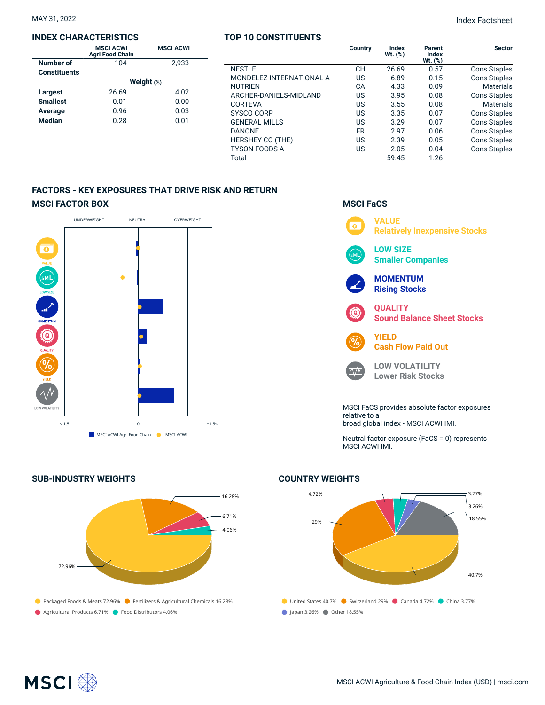#### **INDEX CHARACTERISTICS**

|                     | <b>MSCI ACWI</b><br><b>Agri Food Chain</b> | <b>MSCI ACWI</b> |  |  |  |  |  |
|---------------------|--------------------------------------------|------------------|--|--|--|--|--|
| Number of           | 104                                        | 2.933            |  |  |  |  |  |
| <b>Constituents</b> |                                            |                  |  |  |  |  |  |
|                     | Weight (%)                                 |                  |  |  |  |  |  |
| Largest             | 26.69                                      | 4.02             |  |  |  |  |  |
| <b>Smallest</b>     | 0.01                                       | 0.00             |  |  |  |  |  |
| Average             | 0.96                                       | 0.03             |  |  |  |  |  |
| <b>Median</b>       | 0.28                                       | 0.01             |  |  |  |  |  |

|                          | Country   | Index<br>$Wt.$ $(\%)$ | Parent<br><b>Index</b><br>$Wt.$ $(\%)$ | <b>Sector</b>       |
|--------------------------|-----------|-----------------------|----------------------------------------|---------------------|
| <b>NESTLE</b>            | <b>CH</b> | 26.69                 | 0.57                                   | <b>Cons Staples</b> |
| MONDELEZ INTERNATIONAL A | US        | 6.89                  | 0.15                                   | <b>Cons Staples</b> |
| <b>NUTRIEN</b>           | CA        | 4.33                  | 0.09                                   | <b>Materials</b>    |
| ARCHER-DANIELS-MIDLAND   | US        | 3.95                  | 0.08                                   | <b>Cons Staples</b> |
| CORTEVA                  | US        | 3.55                  | 0.08                                   | <b>Materials</b>    |
| <b>SYSCO CORP</b>        | US        | 3.35                  | 0.07                                   | <b>Cons Staples</b> |
| <b>GENERAL MILLS</b>     | US        | 3.29                  | 0.07                                   | <b>Cons Staples</b> |
| <b>DANONE</b>            | <b>FR</b> | 2.97                  | 0.06                                   | <b>Cons Staples</b> |
| <b>HERSHEY CO (THE)</b>  | US        | 2.39                  | 0.05                                   | <b>Cons Staples</b> |
| <b>TYSON FOODS A</b>     | US        | 2.05                  | 0.04                                   | <b>Cons Staples</b> |
| Total                    |           | 59.45                 | 1.26                                   |                     |

**TOP 10 CONSTITUENTS**

# **FACTORS - KEY EXPOSURES THAT DRIVE RISK AND RETURN MSCI FACTOR BOX**



# **SUB-INDUSTRY WEIGHTS**



# **MSCI FaCS**



Neutral factor exposure (FaCS = 0) represents MSCI ACWI IMI.

# **COUNTRY WEIGHTS**